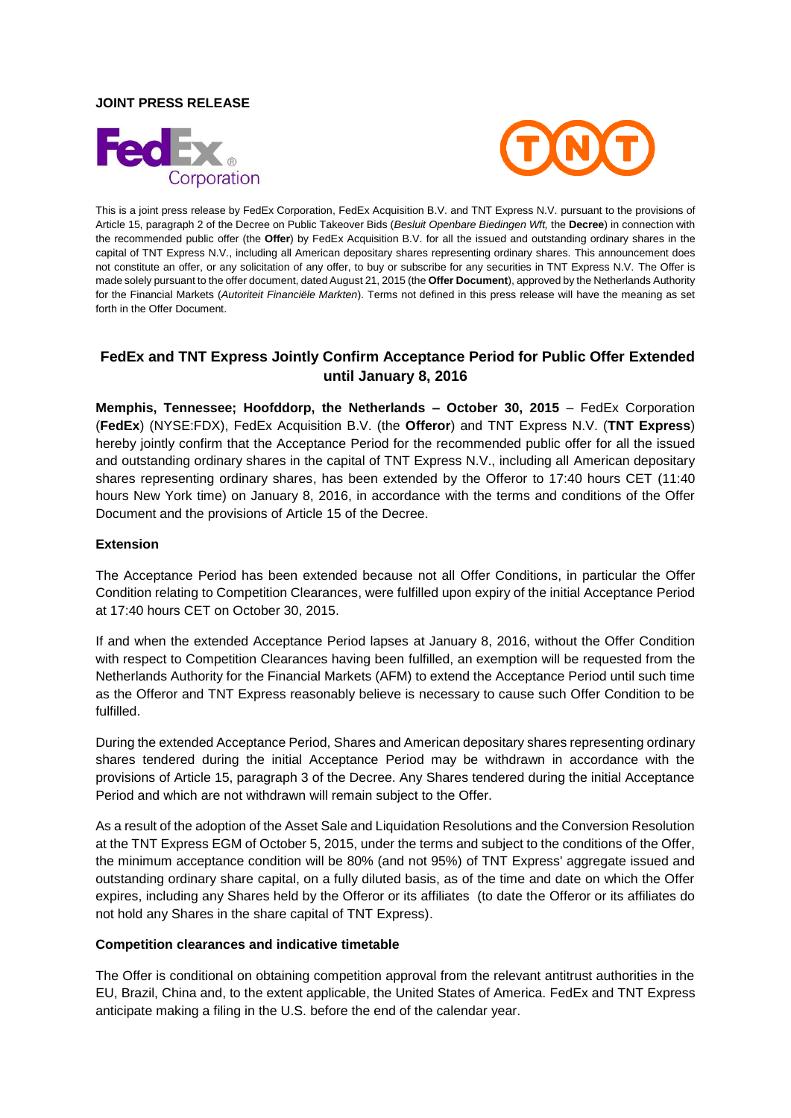#### **JOINT PRESS RELEASE**





This is a joint press release by FedEx Corporation, FedEx Acquisition B.V. and TNT Express N.V. pursuant to the provisions of Article 15, paragraph 2 of the Decree on Public Takeover Bids (*Besluit Openbare Biedingen Wft,* the **Decree**) in connection with the recommended public offer (the **Offer**) by FedEx Acquisition B.V. for all the issued and outstanding ordinary shares in the capital of TNT Express N.V., including all American depositary shares representing ordinary shares. This announcement does not constitute an offer, or any solicitation of any offer, to buy or subscribe for any securities in TNT Express N.V. The Offer is made solely pursuant to the offer document, dated August 21, 2015 (the **Offer Document**), approved by the Netherlands Authority for the Financial Markets (*Autoriteit Financiële Markten*). Terms not defined in this press release will have the meaning as set forth in the Offer Document.

# **FedEx and TNT Express Jointly Confirm Acceptance Period for Public Offer Extended until January 8, 2016**

**Memphis, Tennessee; Hoofddorp, the Netherlands – October 30, 2015** – FedEx Corporation (**FedEx**) (NYSE:FDX), FedEx Acquisition B.V. (the **Offeror**) and TNT Express N.V. (**TNT Express**) hereby jointly confirm that the Acceptance Period for the recommended public offer for all the issued and outstanding ordinary shares in the capital of TNT Express N.V., including all American depositary shares representing ordinary shares, has been extended by the Offeror to 17:40 hours CET (11:40 hours New York time) on January 8, 2016, in accordance with the terms and conditions of the Offer Document and the provisions of Article 15 of the Decree.

### **Extension**

The Acceptance Period has been extended because not all Offer Conditions, in particular the Offer Condition relating to Competition Clearances, were fulfilled upon expiry of the initial Acceptance Period at 17:40 hours CET on October 30, 2015.

If and when the extended Acceptance Period lapses at January 8, 2016, without the Offer Condition with respect to Competition Clearances having been fulfilled, an exemption will be requested from the Netherlands Authority for the Financial Markets (AFM) to extend the Acceptance Period until such time as the Offeror and TNT Express reasonably believe is necessary to cause such Offer Condition to be fulfilled.

During the extended Acceptance Period, Shares and American depositary shares representing ordinary shares tendered during the initial Acceptance Period may be withdrawn in accordance with the provisions of Article 15, paragraph 3 of the Decree. Any Shares tendered during the initial Acceptance Period and which are not withdrawn will remain subject to the Offer.

As a result of the adoption of the Asset Sale and Liquidation Resolutions and the Conversion Resolution at the TNT Express EGM of October 5, 2015, under the terms and subject to the conditions of the Offer, the minimum acceptance condition will be 80% (and not 95%) of TNT Express' aggregate issued and outstanding ordinary share capital, on a fully diluted basis, as of the time and date on which the Offer expires, including any Shares held by the Offeror or its affiliates (to date the Offeror or its affiliates do not hold any Shares in the share capital of TNT Express).

#### **Competition clearances and indicative timetable**

The Offer is conditional on obtaining competition approval from the relevant antitrust authorities in the EU, Brazil, China and, to the extent applicable, the United States of America. FedEx and TNT Express anticipate making a filing in the U.S. before the end of the calendar year.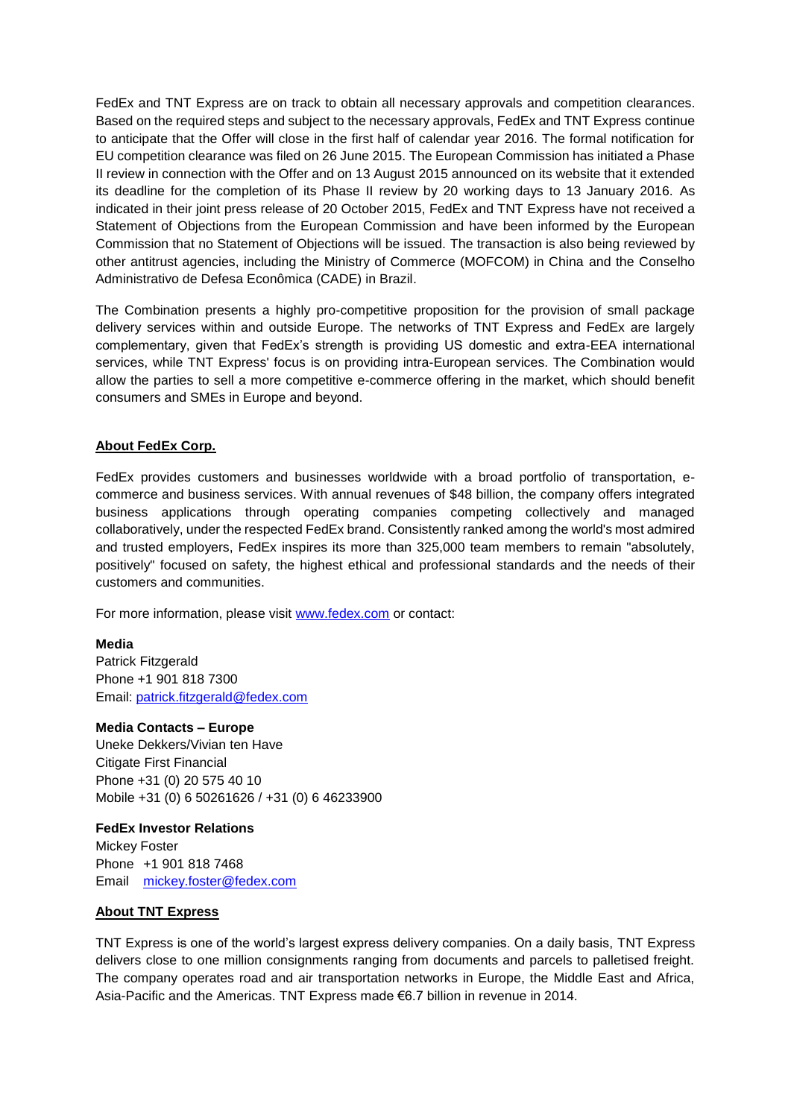FedEx and TNT Express are on track to obtain all necessary approvals and competition clearances. Based on the required steps and subject to the necessary approvals, FedEx and TNT Express continue to anticipate that the Offer will close in the first half of calendar year 2016. The formal notification for EU competition clearance was filed on 26 June 2015. The European Commission has initiated a Phase II review in connection with the Offer and on 13 August 2015 announced on its website that it extended its deadline for the completion of its Phase II review by 20 working days to 13 January 2016. As indicated in their joint press release of 20 October 2015, FedEx and TNT Express have not received a Statement of Objections from the European Commission and have been informed by the European Commission that no Statement of Objections will be issued. The transaction is also being reviewed by other antitrust agencies, including the Ministry of Commerce (MOFCOM) in China and the Conselho Administrativo de Defesa Econômica (CADE) in Brazil.

The Combination presents a highly pro-competitive proposition for the provision of small package delivery services within and outside Europe. The networks of TNT Express and FedEx are largely complementary, given that FedEx's strength is providing US domestic and extra-EEA international services, while TNT Express' focus is on providing intra-European services. The Combination would allow the parties to sell a more competitive e-commerce offering in the market, which should benefit consumers and SMEs in Europe and beyond.

## **About FedEx Corp.**

FedEx provides customers and businesses worldwide with a broad portfolio of transportation, ecommerce and business services. With annual revenues of \$48 billion, the company offers integrated business applications through operating companies competing collectively and managed collaboratively, under the respected FedEx brand. Consistently ranked among the world's most admired and trusted employers, FedEx inspires its more than 325,000 team members to remain "absolutely, positively" focused on safety, the highest ethical and professional standards and the needs of their customers and communities.

For more information, please visit www.fedex.com or contact:

#### **Media**

Patrick Fitzgerald Phone +1 901 818 7300 Email: patrick.fitzgerald@fedex.com

#### **Media Contacts – Europe**

Uneke Dekkers/Vivian ten Have Citigate First Financial Phone +31 (0) 20 575 40 10 Mobile +31 (0) 6 50261626 / +31 (0) 6 46233900

#### **FedEx Investor Relations**

Mickey Foster Phone +1 901 818 7468 Email mickey.foster@fedex.com

## **About TNT Express**

TNT Express is one of the world's largest express delivery companies. On a daily basis, TNT Express delivers close to one million consignments ranging from documents and parcels to palletised freight. The company operates road and air transportation networks in Europe, the Middle East and Africa, Asia-Pacific and the Americas. TNT Express made €6.7 billion in revenue in 2014.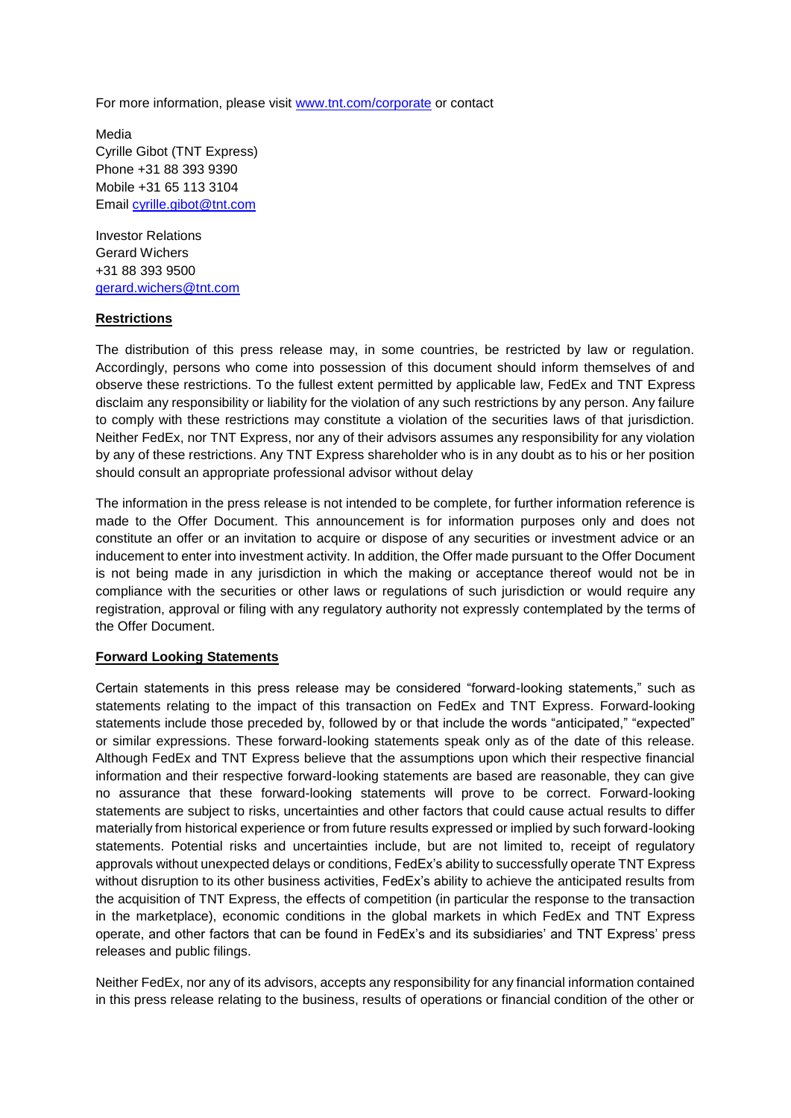For more information, please visit www.tnt.com/corporate or contact

Media Cyrille Gibot (TNT Express) Phone +31 88 393 9390 Mobile +31 65 113 3104 Email cyrille.gibot@tnt.com

Investor Relations Gerard Wichers +31 88 393 9500 gerard.wichers@tnt.com

### **Restrictions**

The distribution of this press release may, in some countries, be restricted by law or regulation. Accordingly, persons who come into possession of this document should inform themselves of and observe these restrictions. To the fullest extent permitted by applicable law, FedEx and TNT Express disclaim any responsibility or liability for the violation of any such restrictions by any person. Any failure to comply with these restrictions may constitute a violation of the securities laws of that jurisdiction. Neither FedEx, nor TNT Express, nor any of their advisors assumes any responsibility for any violation by any of these restrictions. Any TNT Express shareholder who is in any doubt as to his or her position should consult an appropriate professional advisor without delay

The information in the press release is not intended to be complete, for further information reference is made to the Offer Document. This announcement is for information purposes only and does not constitute an offer or an invitation to acquire or dispose of any securities or investment advice or an inducement to enter into investment activity. In addition, the Offer made pursuant to the Offer Document is not being made in any jurisdiction in which the making or acceptance thereof would not be in compliance with the securities or other laws or regulations of such jurisdiction or would require any registration, approval or filing with any regulatory authority not expressly contemplated by the terms of the Offer Document.

## **Forward Looking Statements**

Certain statements in this press release may be considered "forward-looking statements," such as statements relating to the impact of this transaction on FedEx and TNT Express. Forward-looking statements include those preceded by, followed by or that include the words "anticipated," "expected" or similar expressions. These forward-looking statements speak only as of the date of this release. Although FedEx and TNT Express believe that the assumptions upon which their respective financial information and their respective forward-looking statements are based are reasonable, they can give no assurance that these forward-looking statements will prove to be correct. Forward-looking statements are subject to risks, uncertainties and other factors that could cause actual results to differ materially from historical experience or from future results expressed or implied by such forward-looking statements. Potential risks and uncertainties include, but are not limited to, receipt of regulatory approvals without unexpected delays or conditions, FedEx's ability to successfully operate TNT Express without disruption to its other business activities, FedEx's ability to achieve the anticipated results from the acquisition of TNT Express, the effects of competition (in particular the response to the transaction in the marketplace), economic conditions in the global markets in which FedEx and TNT Express operate, and other factors that can be found in FedEx's and its subsidiaries' and TNT Express' press releases and public filings.

Neither FedEx, nor any of its advisors, accepts any responsibility for any financial information contained in this press release relating to the business, results of operations or financial condition of the other or